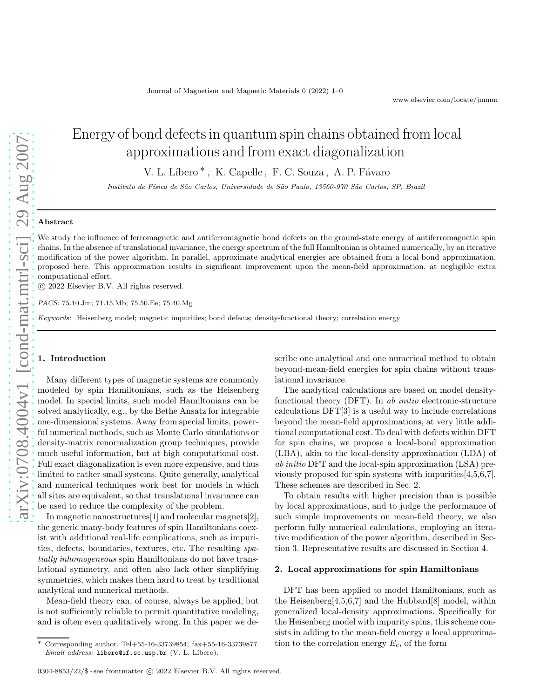# Energy of bond defects in quantum spin chains obtained from local approximations and from exact diagonalization

V. L. Líbero<sup>\*</sup>, K. Capelle, F. C. Souza, A. P. Fávaro

*Instituto de F´ısica de S˜ao Carlos, Universidade de S˜ao Paulo, 13560-970 S˜ao Carlos, SP, Brazil*

## Abstract

We study the influence of ferromagnetic and antiferromagnetic bond defects on the ground-state energy of antiferromagnetic spin chains. In the absence of translational invariance, the energy spectrum of the full Hamiltonian is obtained numerically, by an iterative modification of the power algorithm. In parallel, approximate analytical energies are obtained from a local-bond approximation, proposed here. This approximation results in significant improvement upon the mean-field approximation, at negligible extra computational effort.

c 2022 Elsevier B.V. All rights reserved.

*PACS:* 75.10.Jm; 71.15.Mb; 75.50.Ee; 75.40.Mg

*Keywords:* Heisenberg model; magnetic impurities; bond defects; density-functional theory; correlation energy

# 1. Introduction

Many different types of magnetic systems are commonly modeled by spin Hamiltonians, such as the Heisenberg model. In special limits, such model Hamiltonians can be solved analytically, e.g., by the Bethe Ansatz for integrable one-dimensional systems. Away from special limits, powerful numerical methods, such as Monte Carlo simulations or density-matrix renormalization group techniques, provide much useful information, but at high computational cost. Full exact diagonalization is even more expensive, and thus limited to rather small systems. Quite generally, analytical and numerical techniques work best for models in which all sites are equivalent, so that translational invariance can be used to reduce the complexity of the problem.

In magnetic nanostructures[1] and molecular magnets[2], the generic many-body features of spin Hamiltonians coexist with additional real-life complications, such as impurities, defects, boundaries, textures, etc. The resulting spatially inhomogeneous spin Hamiltonians do not have translational symmetry, and often also lack other simplifying symmetries, which makes them hard to treat by traditional analytical and numerical methods.

Mean-field theory can, of course, always be applied, but is not sufficiently reliable to permit quantitative modeling, and is often even qualitatively wrong. In this paper we describe one analytical and one numerical method to obtain beyond-mean-field energies for spin chains without translational invariance.

The analytical calculations are based on model densityfunctional theory (DFT). In ab initio electronic-structure calculations DFT[3] is a useful way to include correlations beyond the mean-field approximations, at very little additional computational cost. To deal with defects within DFT for spin chains, we propose a local-bond approximation (LBA), akin to the local-density approximation (LDA) of ab initio DFT and the local-spin approximation (LSA) previously proposed for spin systems with impurities[4,5,6,7]. These schemes are described in Sec. 2.

To obtain results with higher precision than is possible by local approximations, and to judge the performance of such simple improvements on mean-field theory, we also perform fully numerical calculations, employing an iterative modification of the power algorithm, described in Section 3. Representative results are discussed in Section 4.

#### 2. Local approximations for spin Hamiltonians

DFT has been applied to model Hamiltonians, such as the Heisenberg $[4,5,6,7]$  and the Hubbard $[8]$  model, within generalized local-density approximations. Specifically for the Heisenberg model with impurity spins, this scheme consists in adding to the mean-field energy a local approximation to the correlation energy  $E_c$ , of the form

<sup>∗</sup> Corresponding author. Tel+55-16-33739854; fax+55-16-33739877 *Email address:* libero@if.sc.usp.br (V. L. Líbero).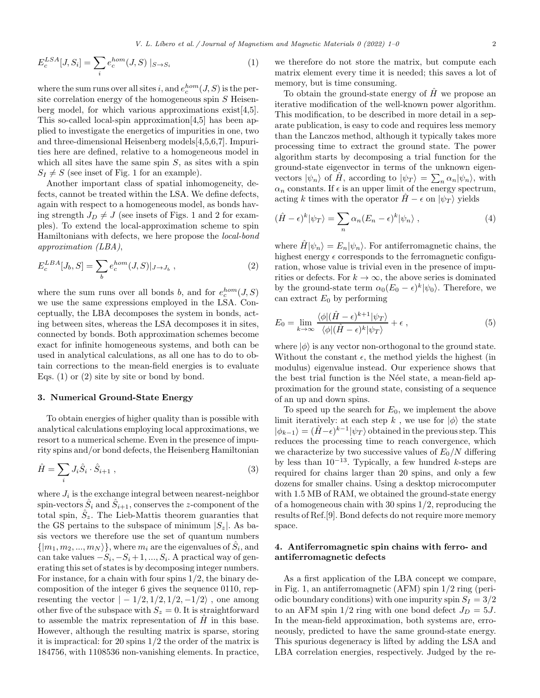$$
E_c^{LSA}[J, S_i] = \sum_i e_c^{hom}(J, S) \mid_{S \to S_i}
$$
 (1)

where the sum runs over all sites i, and  $e_c^{hom}(J, S)$  is the persite correlation energy of the homogeneous spin  $S$  Heisenberg model, for which various approximations exist[4,5]. This so-called local-spin approximation[4,5] has been applied to investigate the energetics of impurities in one, two and three-dimensional Heisenberg models[4,5,6,7]. Impurities here are defined, relative to a homogeneous model in which all sites have the same spin  $S$ , as sites with a spin  $S_I \neq S$  (see inset of Fig. 1 for an example).

Another important class of spatial inhomogeneity, defects, cannot be treated within the LSA. We define defects, again with respect to a homogeneous model, as bonds having strength  $J_D \neq J$  (see insets of Figs. 1 and 2 for examples). To extend the local-approximation scheme to spin Hamiltonians with defects, we here propose the local-bond approximation (LBA),

$$
E_c^{LBA}[J_b, S] = \sum_b e_c^{hom}(J, S)|_{J \to J_b} , \qquad (2)
$$

where the sum runs over all bonds b, and for  $e_c^{hom}(J, S)$ we use the same expressions employed in the LSA. Conceptually, the LBA decomposes the system in bonds, acting between sites, whereas the LSA decomposes it in sites, connected by bonds. Both approximation schemes become exact for infinite homogeneous systems, and both can be used in analytical calculations, as all one has to do to obtain corrections to the mean-field energies is to evaluate Eqs.  $(1)$  or  $(2)$  site by site or bond by bond.

### 3. Numerical Ground-State Energy

To obtain energies of higher quality than is possible with analytical calculations employing local approximations, we resort to a numerical scheme. Even in the presence of impurity spins and/or bond defects, the Heisenberg Hamiltonian

$$
\hat{H} = \sum_{i} J_i \hat{S}_i \cdot \hat{S}_{i+1} , \qquad (3)
$$

where  $J_i$  is the exchange integral between nearest-neighbor spin-vectors  $\hat{S}_i$  and  $\hat{S}_{i+1}$ , conserves the z-component of the total spin,  $\hat{S}_z$ . The Lieb-Mattis theorem guaranties that the GS pertains to the subspace of minimum  $|S_z|$ . As basis vectors we therefore use the set of quantum numbers  $\{|m_1, m_2, ..., m_N\rangle\}$ , where  $m_i$  are the eigenvalues of  $\hat{S}_i$ , and can take values  $-S_i, -S_i+1, ..., S_i$ . A practical way of generating this set of states is by decomposing integer numbers. For instance, for a chain with four spins 1/2, the binary decomposition of the integer 6 gives the sequence 0110, representing the vector  $|-1/2, 1/2, 1/2, -1/2\rangle$ , one among other five of the subspace with  $S_z = 0$ . It is straightforward to assemble the matrix representation of  $H$  in this base. However, although the resulting matrix is sparse, storing it is impractical: for 20 spins 1/2 the order of the matrix is 184756, with 1108536 non-vanishing elements. In practice,

we therefore do not store the matrix, but compute each matrix element every time it is needed; this saves a lot of memory, but is time consuming.

To obtain the ground-state energy of  $\hat{H}$  we propose an iterative modification of the well-known power algorithm. This modification, to be described in more detail in a separate publication, is easy to code and requires less memory than the Lanczos method, although it typically takes more processing time to extract the ground state. The power algorithm starts by decomposing a trial function for the ground-state eigenvector in terms of the unknown eigenvectors  $|\psi_n\rangle$  of  $\hat{H}$ , according to  $|\psi_T\rangle = \sum_n \alpha_n |\psi_n\rangle$ , with  $\alpha_n$  constants. If  $\epsilon$  is an upper limit of the energy spectrum, acting k times with the operator  $H - \epsilon$  on  $|\psi_T\rangle$  yields

$$
(\hat{H} - \epsilon)^k |\psi_T\rangle = \sum_n \alpha_n (E_n - \epsilon)^k |\psi_n\rangle , \qquad (4)
$$

where  $\hat{H}|\psi_n\rangle = E_n|\psi_n\rangle$ . For antiferromagnetic chains, the highest energy  $\epsilon$  corresponds to the ferromagnetic configuration, whose value is trivial even in the presence of impurities or defects. For  $k \to \infty$ , the above series is dominated by the ground-state term  $\alpha_0 (E_0 - \epsilon)^k |\psi_0\rangle$ . Therefore, we can extract  $E_0$  by performing

$$
E_0 = \lim_{k \to \infty} \frac{\langle \phi | (\hat{H} - \epsilon)^{k+1} | \psi_T \rangle}{\langle \phi | (\hat{H} - \epsilon)^k | \psi_T \rangle} + \epsilon , \qquad (5)
$$

where  $|\phi\rangle$  is any vector non-orthogonal to the ground state. Without the constant  $\epsilon$ , the method yields the highest (in modulus) eigenvalue instead. Our experience shows that the best trial function is the Néel state, a mean-field approximation for the ground state, consisting of a sequence of an up and down spins.

To speed up the search for  $E_0$ , we implement the above limit iteratively: at each step k, we use for  $|\phi\rangle$  the state  $|\phi_{k-1}\rangle = (\hat{H}-\epsilon)^{k-1}|\psi_T\rangle$  obtained in the previous step. This reduces the processing time to reach convergence, which we characterize by two successive values of  $E_0/N$  differing by less than  $10^{-13}$ . Typically, a few hundred k-steps are required for chains larger than 20 spins, and only a few dozens for smaller chains. Using a desktop microcomputer with 1.5 MB of RAM, we obtained the ground-state energy of a homogeneous chain with 30 spins 1/2, reproducing the results of Ref.[9]. Bond defects do not require more memory space.

# 4. Antiferromagnetic spin chains with ferro- and antiferromagnetic defects

As a first application of the LBA concept we compare, in Fig. 1, an antiferromagnetic (AFM) spin 1/2 ring (periodic boundary conditions) with one impurity spin  $S_I = 3/2$ to an AFM spin  $1/2$  ring with one bond defect  $J_D = 5J$ . In the mean-field approximation, both systems are, erroneously, predicted to have the same ground-state energy. This spurious degeneracy is lifted by adding the LSA and LBA correlation energies, respectively. Judged by the re